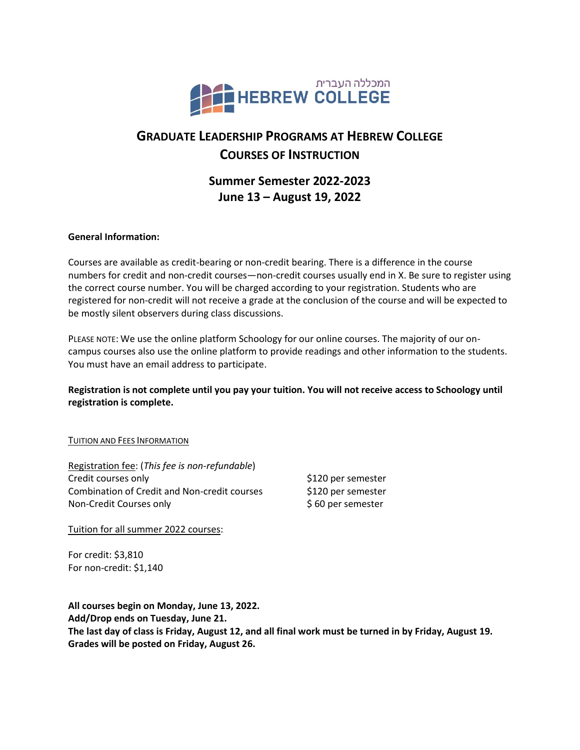

# **GRADUATE LEADERSHIP PROGRAMS AT HEBREW COLLEGE COURSES OF INSTRUCTION**

## **Summer Semester 2022-2023 June 13 – August 19, 2022**

### **General Information:**

Courses are available as credit-bearing or non-credit bearing. There is a difference in the course numbers for credit and non-credit courses—non-credit courses usually end in X. Be sure to register using the correct course number. You will be charged according to your registration. Students who are registered for non-credit will not receive a grade at the conclusion of the course and will be expected to be mostly silent observers during class discussions.

PLEASE NOTE: We use the online platform Schoology for our online courses. The majority of our oncampus courses also use the online platform to provide readings and other information to the students. You must have an email address to participate.

### **Registration is not complete until you pay your tuition. You will not receive access to Schoology until registration is complete.**

#### TUITION AND FEES INFORMATION

| Registration fee: (This fee is non-refundable)      |                    |
|-----------------------------------------------------|--------------------|
| Credit courses only                                 | \$120 per semester |
| <b>Combination of Credit and Non-credit courses</b> | \$120 per semester |
| Non-Credit Courses only                             | \$60 per semester  |

Tuition for all summer 2022 courses:

For credit: \$3,810 For non-credit: \$1,140

**All courses begin on Monday, June 13, 2022. Add/Drop ends on Tuesday, June 21. The last day of class is Friday, August 12, and all final work must be turned in by Friday, August 19. Grades will be posted on Friday, August 26.**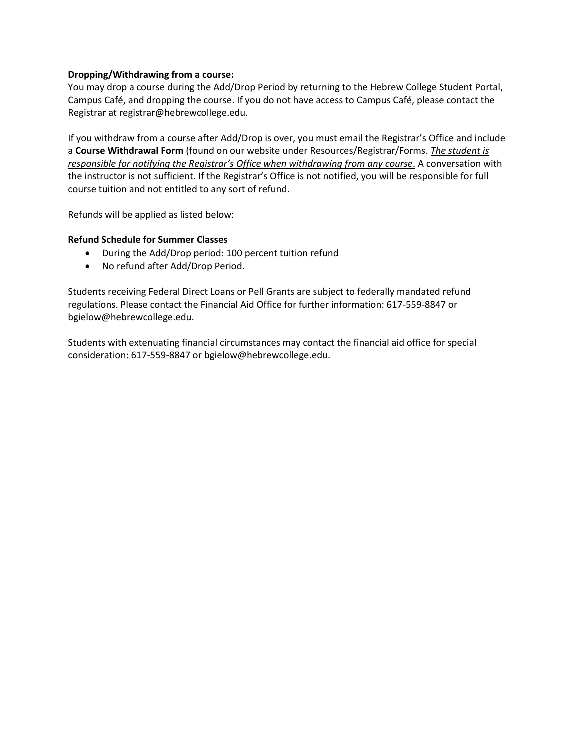#### **Dropping/Withdrawing from a course:**

You may drop a course during the Add/Drop Period by returning to the Hebrew College Student Portal, Campus Café, and dropping the course. If you do not have access to Campus Café, please contact the Registrar at registrar@hebrewcollege.edu.

If you withdraw from a course after Add/Drop is over, you must email the Registrar's Office and include a **Course Withdrawal Form** (found on our website under Resources/Registrar/Forms. *The student is*  responsible for notifying the Registrar's Office when withdrawing from any course. A conversation with the instructor is not sufficient. If the Registrar's Office is not notified, you will be responsible for full course tuition and not entitled to any sort of refund.

Refunds will be applied as listed below:

#### **Refund Schedule for Summer Classes**

- During the Add/Drop period: 100 percent tuition refund
- No refund after Add/Drop Period.

Students receiving Federal Direct Loans or Pell Grants are subject to federally mandated refund regulations. Please contact the Financial Aid Office for further information: 617-559-8847 or bgielow@hebrewcollege.edu.

Students with extenuating financial circumstances may contact the financial aid office for special consideration: 617-559-8847 or bgielow@hebrewcollege.edu.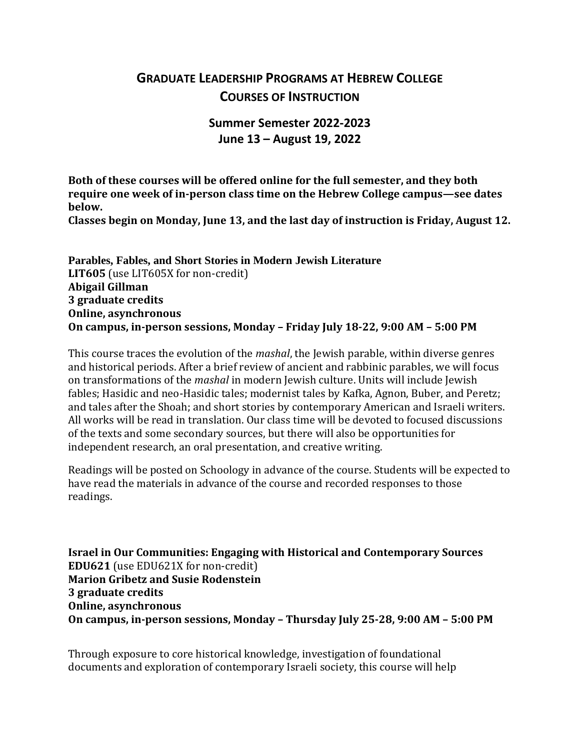# **GRADUATE LEADERSHIP PROGRAMS AT HEBREW COLLEGE COURSES OF INSTRUCTION**

## **Summer Semester 2022-2023 June 13 – August 19, 2022**

**Both of these courses will be offered online for the full semester, and they both require one week of in-person class time on the Hebrew College campus—see dates below.**

**Classes begin on Monday, June 13, and the last day of instruction is Friday, August 12.**

**Parables, Fables, and Short Stories in Modern Jewish Literature LIT605** (use LIT605X for non-credit) **Abigail Gillman 3 graduate credits Online, asynchronous On campus, in-person sessions, Monday – Friday July 18-22, 9:00 AM – 5:00 PM**

This course traces the evolution of the *mashal*, the Jewish parable, within diverse genres and historical periods. After a brief review of ancient and rabbinic parables, we will focus on transformations of the *mashal* in modern Jewish culture. Units will include Jewish fables; Hasidic and neo-Hasidic tales; modernist tales by Kafka, Agnon, Buber, and Peretz; and tales after the Shoah; and short stories by contemporary American and Israeli writers. All works will be read in translation. Our class time will be devoted to focused discussions of the texts and some secondary sources, but there will also be opportunities for independent research, an oral presentation, and creative writing.

Readings will be posted on Schoology in advance of the course. Students will be expected to have read the materials in advance of the course and recorded responses to those readings. 

**Israel in Our Communities: Engaging with Historical and Contemporary Sources EDU621** (use EDU621X for non-credit) **Marion Gribetz and Susie Rodenstein 3 graduate credits Online, asynchronous On campus, in-person sessions, Monday – Thursday July 25-28, 9:00 AM – 5:00 PM**

Through exposure to core historical knowledge, investigation of foundational documents and exploration of contemporary Israeli society, this course will help